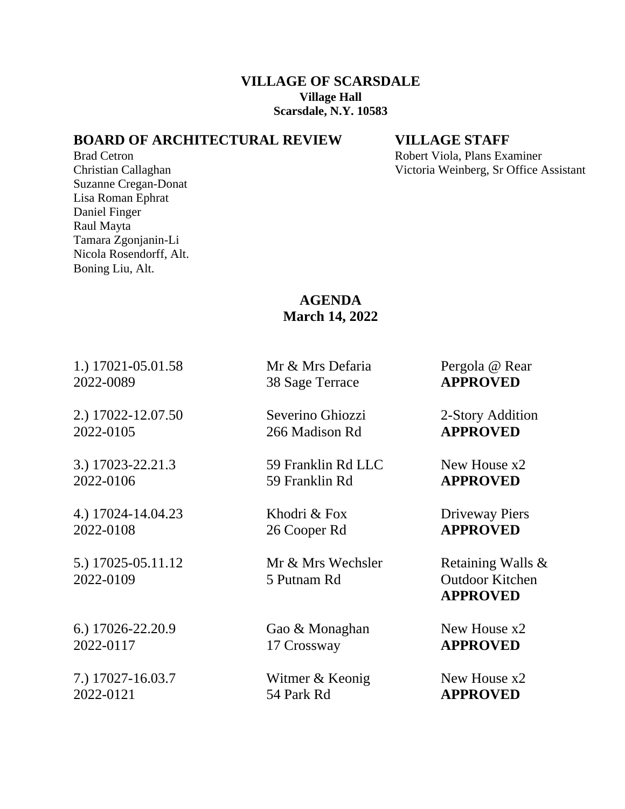## **VILLAGE OF SCARSDALE Village Hall Scarsdale, N.Y. 10583**

## **BOARD OF ARCHITECTURAL REVIEW VILLAGE STAFF**

Suzanne Cregan-Donat Lisa Roman Ephrat Daniel Finger Raul Mayta Tamara Zgonjanin-Li Nicola Rosendorff, Alt. Boning Liu, Alt.

Brad Cetron **Robert Viola, Plans Examiner** Robert Viola, Plans Examiner Christian Callaghan Victoria Weinberg, Sr Office Assistant

## **AGENDA March 14, 2022**

1.) 17021**-**05.01.58 Mr & Mrs Defaria Pergola @ Rear 2022-0089 38 Sage Terrace **APPROVED**

2.) 17022-12.07.50 Severino Ghiozzi 2-Story Addition 2022-0105 266 Madison Rd **APPROVED**

4.) 17024-14.04.23 Khodri & Fox Driveway Piers 2022-0108 26 Cooper Rd **APPROVED**

5.) 17025-05.11.12 Mr & Mrs Wechsler Retaining Walls &

7.) 17027-16.03.7 Witmer & Keonig New House x2

3.) 17023-22.21.3 59 Franklin Rd LLC New House x2 2022-0106 59 Franklin Rd **APPROVED**

2022-0109 5 Putnam Rd Outdoor Kitchen

6.) 17026-22.20.9 **Gao & Monaghan** New House x2 2022-0117 17 Crossway **APPROVED**

2022-0121 54 Park Rd **APPROVED**

**APPROVED**